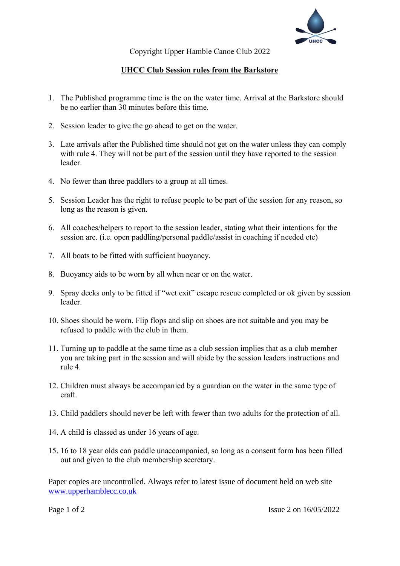

Copyright Upper Hamble Canoe Club 2022

## **UHCC Club Session rules from the Barkstore**

- 1. The Published programme time is the on the water time. Arrival at the Barkstore should be no earlier than 30 minutes before this time.
- 2. Session leader to give the go ahead to get on the water.
- 3. Late arrivals after the Published time should not get on the water unless they can comply with rule 4. They will not be part of the session until they have reported to the session leader.
- 4. No fewer than three paddlers to a group at all times.
- 5. Session Leader has the right to refuse people to be part of the session for any reason, so long as the reason is given.
- 6. All coaches/helpers to report to the session leader, stating what their intentions for the session are. (i.e. open paddling/personal paddle/assist in coaching if needed etc)
- 7. All boats to be fitted with sufficient buoyancy.
- 8. Buoyancy aids to be worn by all when near or on the water.
- 9. Spray decks only to be fitted if "wet exit" escape rescue completed or ok given by session leader.
- 10. Shoes should be worn. Flip flops and slip on shoes are not suitable and you may be refused to paddle with the club in them.
- 11. Turning up to paddle at the same time as a club session implies that as a club member you are taking part in the session and will abide by the session leaders instructions and rule 4.
- 12. Children must always be accompanied by a guardian on the water in the same type of craft.
- 13. Child paddlers should never be left with fewer than two adults for the protection of all.
- 14. A child is classed as under 16 years of age.
- 15. 16 to 18 year olds can paddle unaccompanied, so long as a consent form has been filled out and given to the club membership secretary.

Paper copies are uncontrolled. Always refer to latest issue of document held on web site [www.upperhamblecc.co.uk](http://www.upperhamblecc.co.uk/)